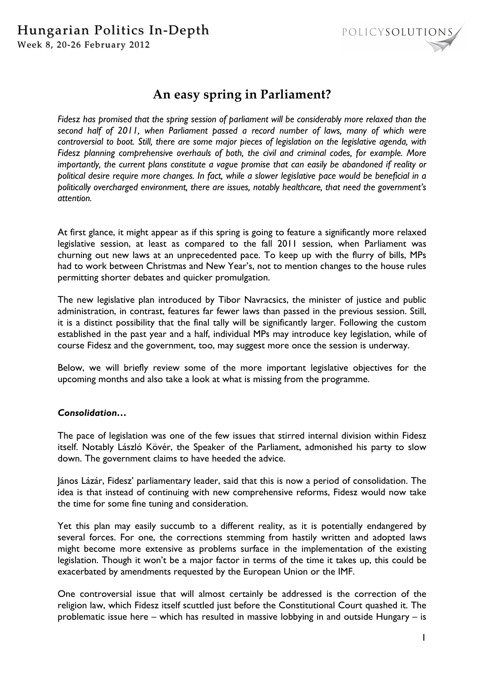

# **An easy spring in Parliament?**

*Fidesz has promised that the spring session of parliament will be considerably more relaxed than the second half of 2011, when Parliament passed a record number of laws, many of which were controversial to boot. Still, there are some major pieces of legislation on the legislative agenda, with Fidesz planning comprehensive overhauls of both, the civil and criminal codes, for example. More importantly, the current plans constitute a vague promise that can easily be abandoned if reality or political desire require more changes. In fact, while a slower legislative pace would be beneficial in a politically overcharged environment, there are issues, notably healthcare, that need the government's attention.* 

At first glance, it might appear as if this spring is going to feature a significantly more relaxed legislative session, at least as compared to the fall 2011 session, when Parliament was churning out new laws at an unprecedented pace. To keep up with the flurry of bills, MPs had to work between Christmas and New Year's, not to mention changes to the house rules permitting shorter debates and quicker promulgation.

The new legislative plan introduced by Tibor Navracsics, the minister of justice and public administration, in contrast, features far fewer laws than passed in the previous session. Still, it is a distinct possibility that the final tally will be significantly larger. Following the custom established in the past year and a half, individual MPs may introduce key legislation, while of course Fidesz and the government, too, may suggest more once the session is underway.

Below, we will briefly review some of the more important legislative objectives for the upcoming months and also take a look at what is missing from the programme.

## *Consolidation…*

The pace of legislation was one of the few issues that stirred internal division within Fidesz itself. Notably László Kövér, the Speaker of the Parliament, admonished his party to slow down. The government claims to have heeded the advice.

János Lázár, Fidesz' parliamentary leader, said that this is now a period of consolidation. The idea is that instead of continuing with new comprehensive reforms, Fidesz would now take the time for some fine tuning and consideration.

Yet this plan may easily succumb to a different reality, as it is potentially endangered by several forces. For one, the corrections stemming from hastily written and adopted laws might become more extensive as problems surface in the implementation of the existing legislation. Though it won't be a major factor in terms of the time it takes up, this could be exacerbated by amendments requested by the European Union or the IMF.

One controversial issue that will almost certainly be addressed is the correction of the religion law, which Fidesz itself scuttled just before the Constitutional Court quashed it. The problematic issue here – which has resulted in massive lobbying in and outside Hungary – is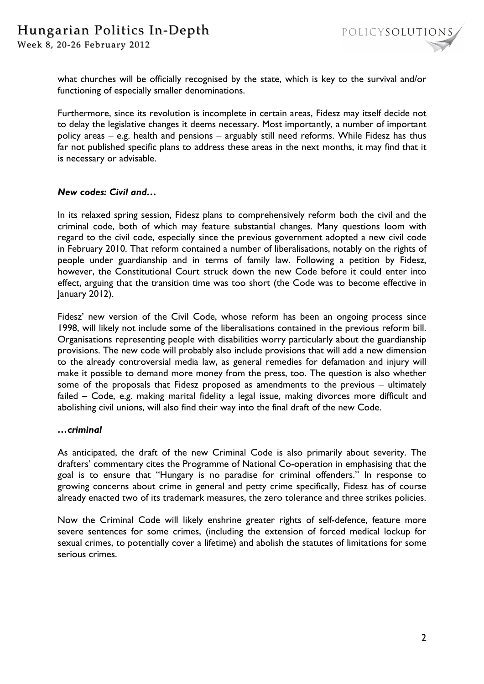Week 8, 20-26 February 2012



what churches will be officially recognised by the state, which is key to the survival and/or functioning of especially smaller denominations.

Furthermore, since its revolution is incomplete in certain areas, Fidesz may itself decide not to delay the legislative changes it deems necessary. Most importantly, a number of important policy areas – e.g. health and pensions – arguably still need reforms. While Fidesz has thus far not published specific plans to address these areas in the next months, it may find that it is necessary or advisable.

### *New codes: Civil and…*

In its relaxed spring session, Fidesz plans to comprehensively reform both the civil and the criminal code, both of which may feature substantial changes. Many questions loom with regard to the civil code, especially since the previous government adopted a new civil code in February 2010. That reform contained a number of liberalisations, notably on the rights of people under guardianship and in terms of family law. Following a petition by Fidesz, however, the Constitutional Court struck down the new Code before it could enter into effect, arguing that the transition time was too short (the Code was to become effective in January 2012).

Fidesz' new version of the Civil Code, whose reform has been an ongoing process since 1998, will likely not include some of the liberalisations contained in the previous reform bill. Organisations representing people with disabilities worry particularly about the guardianship provisions. The new code will probably also include provisions that will add a new dimension to the already controversial media law, as general remedies for defamation and injury will make it possible to demand more money from the press, too. The question is also whether some of the proposals that Fidesz proposed as amendments to the previous – ultimately failed – Code, e.g. making marital fidelity a legal issue, making divorces more difficult and abolishing civil unions, will also find their way into the final draft of the new Code.

#### *…criminal*

As anticipated, the draft of the new Criminal Code is also primarily about severity. The drafters' commentary cites the Programme of National Co-operation in emphasising that the goal is to ensure that "Hungary is no paradise for criminal offenders." In response to growing concerns about crime in general and petty crime specifically, Fidesz has of course already enacted two of its trademark measures, the zero tolerance and three strikes policies.

Now the Criminal Code will likely enshrine greater rights of self-defence, feature more severe sentences for some crimes, (including the extension of forced medical lockup for sexual crimes, to potentially cover a lifetime) and abolish the statutes of limitations for some serious crimes.